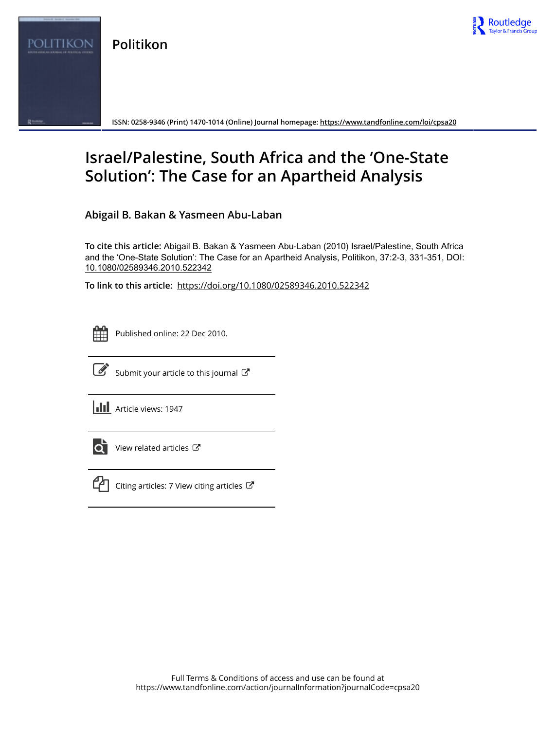

**Politikon**

POLITIKON

**ISSN: 0258-9346 (Print) 1470-1014 (Online) Journal homepage:<https://www.tandfonline.com/loi/cpsa20>**

# **Israel/Palestine, South Africa and the 'One-State Solution': The Case for an Apartheid Analysis**

**Abigail B. Bakan & Yasmeen Abu-Laban**

**To cite this article:** Abigail B. Bakan & Yasmeen Abu-Laban (2010) Israel/Palestine, South Africa and the 'One-State Solution': The Case for an Apartheid Analysis, Politikon, 37:2-3, 331-351, DOI: [10.1080/02589346.2010.522342](https://www.tandfonline.com/action/showCitFormats?doi=10.1080/02589346.2010.522342)

**To link to this article:** <https://doi.org/10.1080/02589346.2010.522342>

雦

Published online: 22 Dec 2010.



 $\overline{\mathscr{L}}$  [Submit your article to this journal](https://www.tandfonline.com/action/authorSubmission?journalCode=cpsa20&show=instructions)  $\mathbb{Z}$ 

**III** Article views: 1947



 $\overline{\mathbf{C}}$  [View related articles](https://www.tandfonline.com/doi/mlt/10.1080/02589346.2010.522342)  $\mathbf{C}$ 



 $\mathbb{C}$  [Citing articles: 7 View citing articles](https://www.tandfonline.com/doi/citedby/10.1080/02589346.2010.522342#tabModule)  $\mathbb{C}$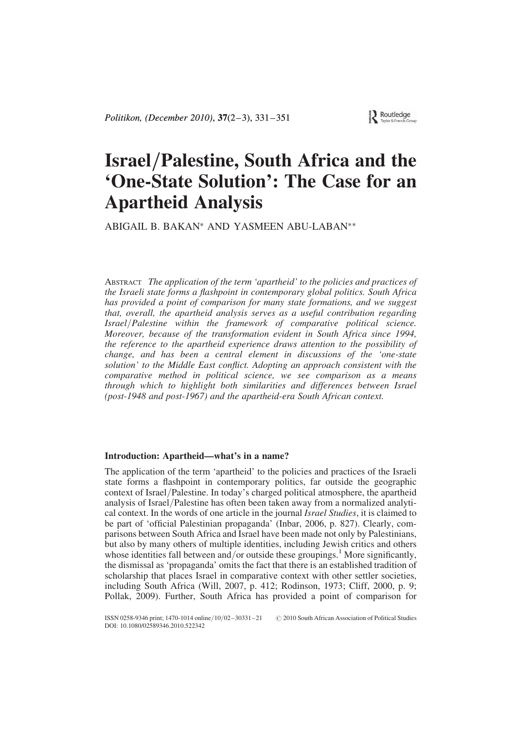# Israel/Palestine, South Africa and the 'One-State Solution': The Case for an Apartheid Analysis

ABIGAIL B. BAKAN<sup>∗</sup> AND YASMEEN ABU-LABAN∗∗

ABSTRACT The application of the term 'apartheid' to the policies and practices of the Israeli state forms a flashpoint in contemporary global politics. South Africa has provided a point of comparison for many state formations, and we suggest that, overall, the apartheid analysis serves as a useful contribution regarding Israel/Palestine within the framework of comparative political science. Moreover, because of the transformation evident in South Africa since 1994, the reference to the apartheid experience draws attention to the possibility of change, and has been a central element in discussions of the 'one-state solution' to the Middle East conflict. Adopting an approach consistent with the comparative method in political science, we see comparison as a means through which to highlight both similarities and differences between Israel (post-1948 and post-1967) and the apartheid-era South African context.

## Introduction: Apartheid—what's in a name?

The application of the term 'apartheid' to the policies and practices of the Israeli state forms a flashpoint in contemporary politics, far outside the geographic context of Israel/Palestine. In today's charged political atmosphere, the apartheid analysis of Israel/Palestine has often been taken away from a normalized analytical context. In the words of one article in the journal *Israel Studies*, it is claimed to be part of 'official Palestinian propaganda' (Inbar, 2006, p. 827). Clearly, comparisons between South Africa and Israel have been made not only by Palestinians, but also by many others of multiple identities, including Jewish critics and others whose identities fall between and/or outside these groupings.<sup>1</sup> More significantly, the dismissal as 'propaganda' omits the fact that there is an established tradition of scholarship that places Israel in comparative context with other settler societies, including South Africa (Will, 2007, p. 412; Rodinson, 1973; Cliff, 2000, p. 9; Pollak, 2009). Further, South Africa has provided a point of comparison for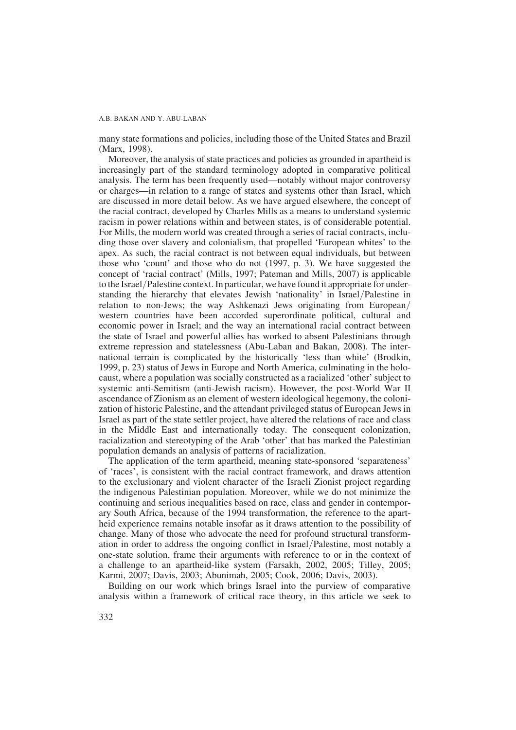many state formations and policies, including those of the United States and Brazil (Marx, 1998).

Moreover, the analysis of state practices and policies as grounded in apartheid is increasingly part of the standard terminology adopted in comparative political analysis. The term has been frequently used—notably without major controversy or charges—in relation to a range of states and systems other than Israel, which are discussed in more detail below. As we have argued elsewhere, the concept of the racial contract, developed by Charles Mills as a means to understand systemic racism in power relations within and between states, is of considerable potential. For Mills, the modern world was created through a series of racial contracts, including those over slavery and colonialism, that propelled 'European whites' to the apex. As such, the racial contract is not between equal individuals, but between those who 'count' and those who do not (1997, p. 3). We have suggested the concept of 'racial contract' (Mills, 1997; Pateman and Mills, 2007) is applicable to the Israel/Palestine context. In particular, we have found it appropriate for understanding the hierarchy that elevates Jewish 'nationality' in Israel/Palestine in relation to non-Jews; the way Ashkenazi Jews originating from European/ western countries have been accorded superordinate political, cultural and economic power in Israel; and the way an international racial contract between the state of Israel and powerful allies has worked to absent Palestinians through extreme repression and statelessness (Abu-Laban and Bakan, 2008). The international terrain is complicated by the historically 'less than white' (Brodkin, 1999, p. 23) status of Jews in Europe and North America, culminating in the holocaust, where a population was socially constructed as a racialized 'other' subject to systemic anti-Semitism (anti-Jewish racism). However, the post-World War II ascendance of Zionism as an element of western ideological hegemony, the colonization of historic Palestine, and the attendant privileged status of European Jews in Israel as part of the state settler project, have altered the relations of race and class in the Middle East and internationally today. The consequent colonization, racialization and stereotyping of the Arab 'other' that has marked the Palestinian population demands an analysis of patterns of racialization.

The application of the term apartheid, meaning state-sponsored 'separateness' of 'races', is consistent with the racial contract framework, and draws attention to the exclusionary and violent character of the Israeli Zionist project regarding the indigenous Palestinian population. Moreover, while we do not minimize the continuing and serious inequalities based on race, class and gender in contemporary South Africa, because of the 1994 transformation, the reference to the apartheid experience remains notable insofar as it draws attention to the possibility of change. Many of those who advocate the need for profound structural transformation in order to address the ongoing conflict in Israel/Palestine, most notably a one-state solution, frame their arguments with reference to or in the context of a challenge to an apartheid-like system (Farsakh, 2002, 2005; Tilley, 2005; Karmi, 2007; Davis, 2003; Abunimah, 2005; Cook, 2006; Davis, 2003).

Building on our work which brings Israel into the purview of comparative analysis within a framework of critical race theory, in this article we seek to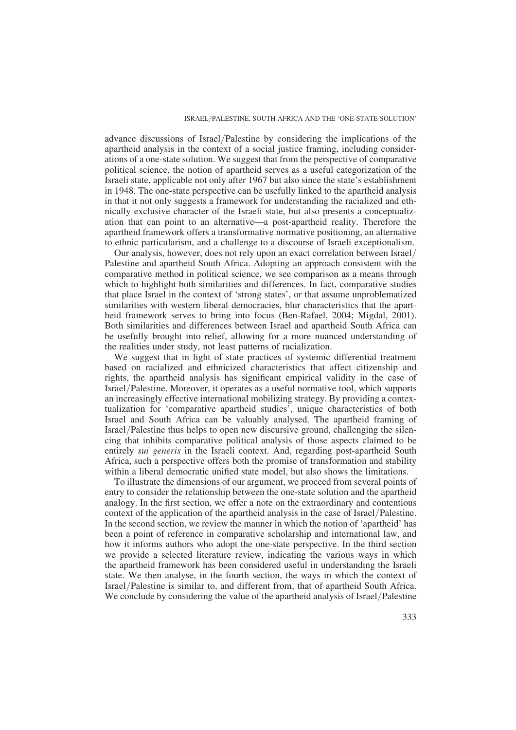advance discussions of Israel/Palestine by considering the implications of the apartheid analysis in the context of a social justice framing, including considerations of a one-state solution. We suggest that from the perspective of comparative political science, the notion of apartheid serves as a useful categorization of the Israeli state, applicable not only after 1967 but also since the state's establishment in 1948. The one-state perspective can be usefully linked to the apartheid analysis in that it not only suggests a framework for understanding the racialized and ethnically exclusive character of the Israeli state, but also presents a conceptualization that can point to an alternative—a post-apartheid reality. Therefore the apartheid framework offers a transformative normative positioning, an alternative to ethnic particularism, and a challenge to a discourse of Israeli exceptionalism.

Our analysis, however, does not rely upon an exact correlation between Israel/ Palestine and apartheid South Africa. Adopting an approach consistent with the comparative method in political science, we see comparison as a means through which to highlight both similarities and differences. In fact, comparative studies that place Israel in the context of 'strong states', or that assume unproblematized similarities with western liberal democracies, blur characteristics that the apartheid framework serves to bring into focus (Ben-Rafael, 2004; Migdal, 2001). Both similarities and differences between Israel and apartheid South Africa can be usefully brought into relief, allowing for a more nuanced understanding of the realities under study, not least patterns of racialization.

We suggest that in light of state practices of systemic differential treatment based on racialized and ethnicized characteristics that affect citizenship and rights, the apartheid analysis has significant empirical validity in the case of Israel/Palestine. Moreover, it operates as a useful normative tool, which supports an increasingly effective international mobilizing strategy. By providing a contextualization for 'comparative apartheid studies', unique characteristics of both Israel and South Africa can be valuably analysed. The apartheid framing of Israel/Palestine thus helps to open new discursive ground, challenging the silencing that inhibits comparative political analysis of those aspects claimed to be entirely sui generis in the Israeli context. And, regarding post-apartheid South Africa, such a perspective offers both the promise of transformation and stability within a liberal democratic unified state model, but also shows the limitations.

To illustrate the dimensions of our argument, we proceed from several points of entry to consider the relationship between the one-state solution and the apartheid analogy. In the first section, we offer a note on the extraordinary and contentious context of the application of the apartheid analysis in the case of Israel/Palestine. In the second section, we review the manner in which the notion of 'apartheid' has been a point of reference in comparative scholarship and international law, and how it informs authors who adopt the one-state perspective. In the third section we provide a selected literature review, indicating the various ways in which the apartheid framework has been considered useful in understanding the Israeli state. We then analyse, in the fourth section, the ways in which the context of Israel/Palestine is similar to, and different from, that of apartheid South Africa. We conclude by considering the value of the apartheid analysis of Israel/Palestine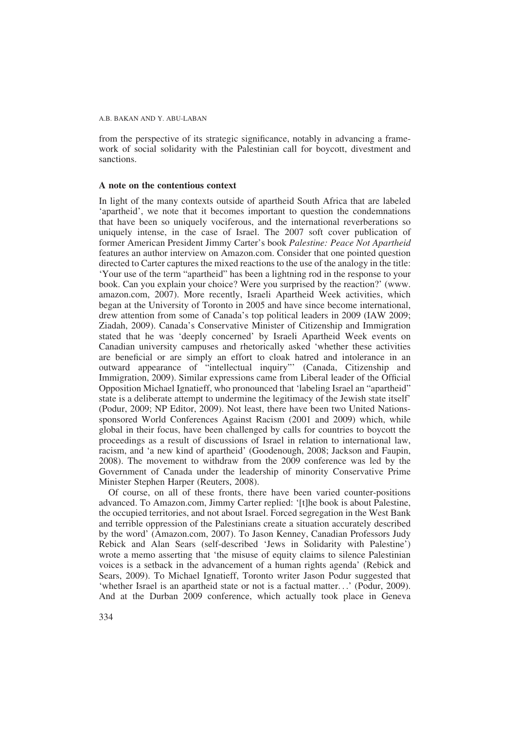from the perspective of its strategic significance, notably in advancing a framework of social solidarity with the Palestinian call for boycott, divestment and sanctions.

# A note on the contentious context

In light of the many contexts outside of apartheid South Africa that are labeled 'apartheid', we note that it becomes important to question the condemnations that have been so uniquely vociferous, and the international reverberations so uniquely intense, in the case of Israel. The 2007 soft cover publication of former American President Jimmy Carter's book Palestine: Peace Not Apartheid features an author interview on Amazon.com. Consider that one pointed question directed to Carter captures the mixed reactions to the use of the analogy in the title: 'Your use of the term "apartheid" has been a lightning rod in the response to your book. Can you explain your choice? Were you surprised by the reaction?' (www. amazon.com, 2007). More recently, Israeli Apartheid Week activities, which began at the University of Toronto in 2005 and have since become international, drew attention from some of Canada's top political leaders in 2009 (IAW 2009; Ziadah, 2009). Canada's Conservative Minister of Citizenship and Immigration stated that he was 'deeply concerned' by Israeli Apartheid Week events on Canadian university campuses and rhetorically asked 'whether these activities are beneficial or are simply an effort to cloak hatred and intolerance in an outward appearance of "intellectual inquiry"' (Canada, Citizenship and Immigration, 2009). Similar expressions came from Liberal leader of the Official Opposition Michael Ignatieff, who pronounced that 'labeling Israel an "apartheid" state is a deliberate attempt to undermine the legitimacy of the Jewish state itself' (Podur, 2009; NP Editor, 2009). Not least, there have been two United Nationssponsored World Conferences Against Racism (2001 and 2009) which, while global in their focus, have been challenged by calls for countries to boycott the proceedings as a result of discussions of Israel in relation to international law, racism, and 'a new kind of apartheid' (Goodenough, 2008; Jackson and Faupin, 2008). The movement to withdraw from the 2009 conference was led by the Government of Canada under the leadership of minority Conservative Prime Minister Stephen Harper (Reuters, 2008).

Of course, on all of these fronts, there have been varied counter-positions advanced. To Amazon.com, Jimmy Carter replied: '[t]he book is about Palestine, the occupied territories, and not about Israel. Forced segregation in the West Bank and terrible oppression of the Palestinians create a situation accurately described by the word' (Amazon.com, 2007). To Jason Kenney, Canadian Professors Judy Rebick and Alan Sears (self-described 'Jews in Solidarity with Palestine') wrote a memo asserting that 'the misuse of equity claims to silence Palestinian voices is a setback in the advancement of a human rights agenda' (Rebick and Sears, 2009). To Michael Ignatieff, Toronto writer Jason Podur suggested that 'whether Israel is an apartheid state or not is a factual matter...' (Podur, 2009). And at the Durban 2009 conference, which actually took place in Geneva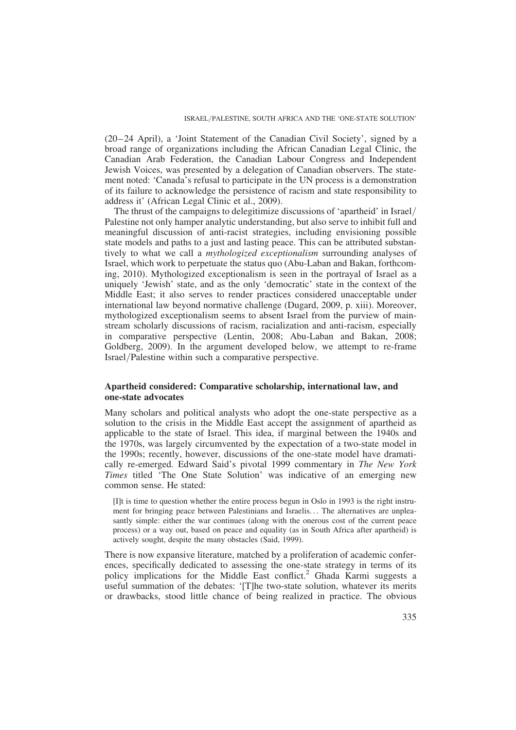(20–24 April), a 'Joint Statement of the Canadian Civil Society', signed by a broad range of organizations including the African Canadian Legal Clinic, the Canadian Arab Federation, the Canadian Labour Congress and Independent Jewish Voices, was presented by a delegation of Canadian observers. The statement noted: 'Canada's refusal to participate in the UN process is a demonstration of its failure to acknowledge the persistence of racism and state responsibility to address it' (African Legal Clinic et al., 2009).

The thrust of the campaigns to delegitimize discussions of 'apartheid' in Israel/ Palestine not only hamper analytic understanding, but also serve to inhibit full and meaningful discussion of anti-racist strategies, including envisioning possible state models and paths to a just and lasting peace. This can be attributed substantively to what we call a mythologized exceptionalism surrounding analyses of Israel, which work to perpetuate the status quo (Abu-Laban and Bakan, forthcoming, 2010). Mythologized exceptionalism is seen in the portrayal of Israel as a uniquely 'Jewish' state, and as the only 'democratic' state in the context of the Middle East; it also serves to render practices considered unacceptable under international law beyond normative challenge (Dugard, 2009, p. xiii). Moreover, mythologized exceptionalism seems to absent Israel from the purview of mainstream scholarly discussions of racism, racialization and anti-racism, especially in comparative perspective (Lentin, 2008; Abu-Laban and Bakan, 2008; Goldberg, 2009). In the argument developed below, we attempt to re-frame Israel/Palestine within such a comparative perspective.

# Apartheid considered: Comparative scholarship, international law, and one-state advocates

Many scholars and political analysts who adopt the one-state perspective as a solution to the crisis in the Middle East accept the assignment of apartheid as applicable to the state of Israel. This idea, if marginal between the 1940s and the 1970s, was largely circumvented by the expectation of a two-state model in the 1990s; recently, however, discussions of the one-state model have dramatically re-emerged. Edward Said's pivotal 1999 commentary in The New York Times titled 'The One State Solution' was indicative of an emerging new common sense. He stated:

[I]t is time to question whether the entire process begun in Oslo in 1993 is the right instrument for bringing peace between Palestinians and Israelis... The alternatives are unpleasantly simple: either the war continues (along with the onerous cost of the current peace process) or a way out, based on peace and equality (as in South Africa after apartheid) is actively sought, despite the many obstacles (Said, 1999).

There is now expansive literature, matched by a proliferation of academic conferences, specifically dedicated to assessing the one-state strategy in terms of its policy implications for the Middle East conflict.<sup>2</sup> Ghada Karmi suggests a useful summation of the debates: '[T]he two-state solution, whatever its merits or drawbacks, stood little chance of being realized in practice. The obvious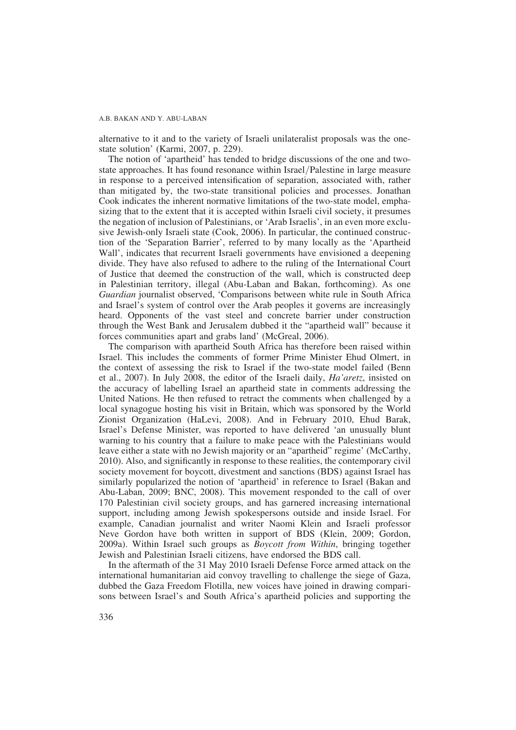alternative to it and to the variety of Israeli unilateralist proposals was the onestate solution' (Karmi, 2007, p. 229).

The notion of 'apartheid' has tended to bridge discussions of the one and twostate approaches. It has found resonance within Israel/Palestine in large measure in response to a perceived intensification of separation, associated with, rather than mitigated by, the two-state transitional policies and processes. Jonathan Cook indicates the inherent normative limitations of the two-state model, emphasizing that to the extent that it is accepted within Israeli civil society, it presumes the negation of inclusion of Palestinians, or 'Arab Israelis', in an even more exclusive Jewish-only Israeli state (Cook, 2006). In particular, the continued construction of the 'Separation Barrier', referred to by many locally as the 'Apartheid Wall', indicates that recurrent Israeli governments have envisioned a deepening divide. They have also refused to adhere to the ruling of the International Court of Justice that deemed the construction of the wall, which is constructed deep in Palestinian territory, illegal (Abu-Laban and Bakan, forthcoming). As one Guardian journalist observed, 'Comparisons between white rule in South Africa and Israel's system of control over the Arab peoples it governs are increasingly heard. Opponents of the vast steel and concrete barrier under construction through the West Bank and Jerusalem dubbed it the "apartheid wall" because it forces communities apart and grabs land' (McGreal, 2006).

The comparison with apartheid South Africa has therefore been raised within Israel. This includes the comments of former Prime Minister Ehud Olmert, in the context of assessing the risk to Israel if the two-state model failed (Benn et al., 2007). In July 2008, the editor of the Israeli daily, Ha'aretz, insisted on the accuracy of labelling Israel an apartheid state in comments addressing the United Nations. He then refused to retract the comments when challenged by a local synagogue hosting his visit in Britain, which was sponsored by the World Zionist Organization (HaLevi, 2008). And in February 2010, Ehud Barak, Israel's Defense Minister, was reported to have delivered 'an unusually blunt warning to his country that a failure to make peace with the Palestinians would leave either a state with no Jewish majority or an "apartheid" regime' (McCarthy, 2010). Also, and significantly in response to these realities, the contemporary civil society movement for boycott, divestment and sanctions (BDS) against Israel has similarly popularized the notion of 'apartheid' in reference to Israel (Bakan and Abu-Laban, 2009; BNC, 2008). This movement responded to the call of over 170 Palestinian civil society groups, and has garnered increasing international support, including among Jewish spokespersons outside and inside Israel. For example, Canadian journalist and writer Naomi Klein and Israeli professor Neve Gordon have both written in support of BDS (Klein, 2009; Gordon, 2009a). Within Israel such groups as Boycott from Within, bringing together Jewish and Palestinian Israeli citizens, have endorsed the BDS call.

In the aftermath of the 31 May 2010 Israeli Defense Force armed attack on the international humanitarian aid convoy travelling to challenge the siege of Gaza, dubbed the Gaza Freedom Flotilla, new voices have joined in drawing comparisons between Israel's and South Africa's apartheid policies and supporting the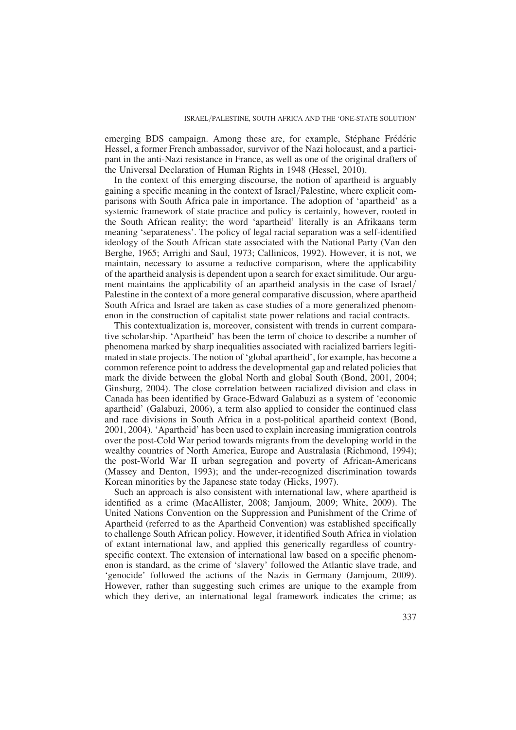emerging BDS campaign. Among these are, for example, Stéphane Frédéric Hessel, a former French ambassador, survivor of the Nazi holocaust, and a participant in the anti-Nazi resistance in France, as well as one of the original drafters of the Universal Declaration of Human Rights in 1948 (Hessel, 2010).

In the context of this emerging discourse, the notion of apartheid is arguably gaining a specific meaning in the context of Israel/Palestine, where explicit comparisons with South Africa pale in importance. The adoption of 'apartheid' as a systemic framework of state practice and policy is certainly, however, rooted in the South African reality; the word 'apartheid' literally is an Afrikaans term meaning 'separateness'. The policy of legal racial separation was a self-identified ideology of the South African state associated with the National Party (Van den Berghe, 1965; Arrighi and Saul, 1973; Callinicos, 1992). However, it is not, we maintain, necessary to assume a reductive comparison, where the applicability of the apartheid analysis is dependent upon a search for exact similitude. Our argument maintains the applicability of an apartheid analysis in the case of Israel/ Palestine in the context of a more general comparative discussion, where apartheid South Africa and Israel are taken as case studies of a more generalized phenomenon in the construction of capitalist state power relations and racial contracts.

This contextualization is, moreover, consistent with trends in current comparative scholarship. 'Apartheid' has been the term of choice to describe a number of phenomena marked by sharp inequalities associated with racialized barriers legitimated in state projects. The notion of 'global apartheid', for example, has become a common reference point to address the developmental gap and related policies that mark the divide between the global North and global South (Bond, 2001, 2004; Ginsburg, 2004). The close correlation between racialized division and class in Canada has been identified by Grace-Edward Galabuzi as a system of 'economic apartheid' (Galabuzi, 2006), a term also applied to consider the continued class and race divisions in South Africa in a post-political apartheid context (Bond, 2001, 2004). 'Apartheid' has been used to explain increasing immigration controls over the post-Cold War period towards migrants from the developing world in the wealthy countries of North America, Europe and Australasia (Richmond, 1994); the post-World War II urban segregation and poverty of African-Americans (Massey and Denton, 1993); and the under-recognized discrimination towards Korean minorities by the Japanese state today (Hicks, 1997).

Such an approach is also consistent with international law, where apartheid is identified as a crime (MacAllister, 2008; Jamjoum, 2009; White, 2009). The United Nations Convention on the Suppression and Punishment of the Crime of Apartheid (referred to as the Apartheid Convention) was established specifically to challenge South African policy. However, it identified South Africa in violation of extant international law, and applied this generically regardless of countryspecific context. The extension of international law based on a specific phenomenon is standard, as the crime of 'slavery' followed the Atlantic slave trade, and 'genocide' followed the actions of the Nazis in Germany (Jamjoum, 2009). However, rather than suggesting such crimes are unique to the example from which they derive, an international legal framework indicates the crime; as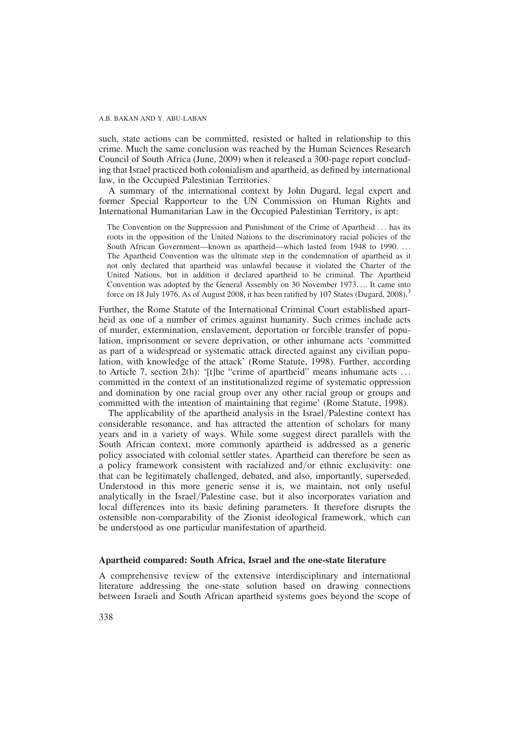such, state actions can be committed, resisted or halted in relationship to this crime. Much the same conclusion was reached by the Human Sciences Research Council of South Africa (June, 2009) when it released a 300-page report concluding that Israel practiced both colonialism and apartheid, as defined by international law, in the Occupied Palestinian Territories.

A summary of the international context by John Dugard, legal expert and former Special Rapporteur to the UN Commission on Human Rights and International Humanitarian Law in the Occupied Palestinian Territory, is apt:

The Convention on the Suppression and Punishment of the Crime of Apartheid ... has its roots in the opposition of the United Nations to the discriminatory racial policies of the South African Government—known as apartheid—which lasted from 1948 to 1990. ... The Apartheid Convention was the ultimate step in the condemnation of apartheid as it not only declared that apartheid was unlawful because it violated the Charter of the United Nations, but in addition it declared apartheid to be criminal. The Apartheid Convention was adopted by the General Assembly on 30 November 1973.... It came into force on 18 July 1976. As of August 2008, it has been ratified by 107 States (Dugard, 2008).<sup>3</sup>

Further, the Rome Statute of the International Criminal Court established apartheid as one of a number of crimes against humanity. Such crimes include acts of murder, extermination, enslavement, deportation or forcible transfer of population, imprisonment or severe deprivation, or other inhumane acts 'committed as part of a widespread or systematic attack directed against any civilian population, with knowledge of the attack' (Rome Statute, 1998). Further, according to Article 7, section  $2(h)$ : '[t]he "crime of apartheid" means inhumane acts ... committed in the context of an institutionalized regime of systematic oppression and domination by one racial group over any other racial group or groups and committed with the intention of maintaining that regime' (Rome Statute, 1998).

The applicability of the apartheid analysis in the Israel/Palestine context has considerable resonance, and has attracted the attention of scholars for many years and in a variety of ways. While some suggest direct parallels with the South African context, more commonly apartheid is addressed as a generic policy associated with colonial settler states. Apartheid can therefore be seen as a policy framework consistent with racialized and/or ethnic exclusivity: one that can be legitimately challenged, debated, and also, importantly, superseded. Understood in this more generic sense it is, we maintain, not only useful analytically in the Israel/Palestine case, but it also incorporates variation and local differences into its basic defining parameters. It therefore disrupts the ostensible non-comparability of the Zionist ideological framework, which can be understood as one particular manifestation of apartheid.

## Apartheid compared: South Africa, Israel and the one-state literature

A comprehensive review of the extensive interdisciplinary and international literature addressing the one-state solution based on drawing connections between Israeli and South African apartheid systems goes beyond the scope of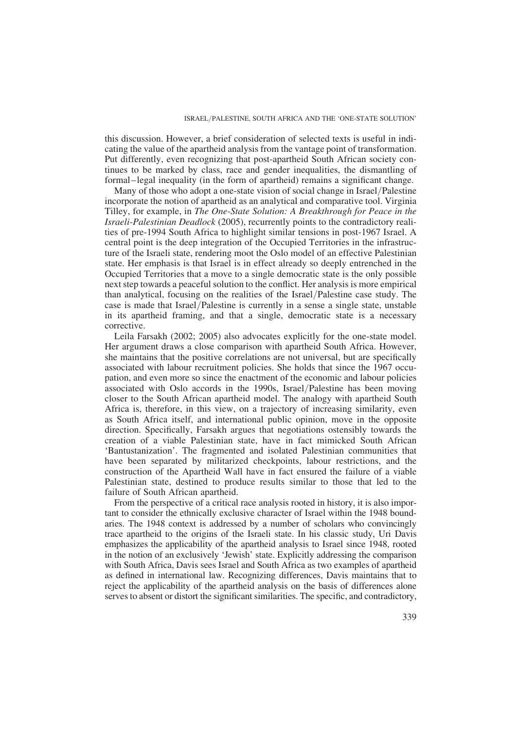this discussion. However, a brief consideration of selected texts is useful in indicating the value of the apartheid analysis from the vantage point of transformation. Put differently, even recognizing that post-apartheid South African society continues to be marked by class, race and gender inequalities, the dismantling of formal –legal inequality (in the form of apartheid) remains a significant change.

Many of those who adopt a one-state vision of social change in Israel/Palestine incorporate the notion of apartheid as an analytical and comparative tool. Virginia Tilley, for example, in The One-State Solution: A Breakthrough for Peace in the Israeli-Palestinian Deadlock (2005), recurrently points to the contradictory realities of pre-1994 South Africa to highlight similar tensions in post-1967 Israel. A central point is the deep integration of the Occupied Territories in the infrastructure of the Israeli state, rendering moot the Oslo model of an effective Palestinian state. Her emphasis is that Israel is in effect already so deeply entrenched in the Occupied Territories that a move to a single democratic state is the only possible next step towards a peaceful solution to the conflict. Her analysis is more empirical than analytical, focusing on the realities of the Israel/Palestine case study. The case is made that Israel/Palestine is currently in a sense a single state, unstable in its apartheid framing, and that a single, democratic state is a necessary corrective.

Leila Farsakh (2002; 2005) also advocates explicitly for the one-state model. Her argument draws a close comparison with apartheid South Africa. However, she maintains that the positive correlations are not universal, but are specifically associated with labour recruitment policies. She holds that since the 1967 occupation, and even more so since the enactment of the economic and labour policies associated with Oslo accords in the 1990s, Israel/Palestine has been moving closer to the South African apartheid model. The analogy with apartheid South Africa is, therefore, in this view, on a trajectory of increasing similarity, even as South Africa itself, and international public opinion, move in the opposite direction. Specifically, Farsakh argues that negotiations ostensibly towards the creation of a viable Palestinian state, have in fact mimicked South African 'Bantustanization'. The fragmented and isolated Palestinian communities that have been separated by militarized checkpoints, labour restrictions, and the construction of the Apartheid Wall have in fact ensured the failure of a viable Palestinian state, destined to produce results similar to those that led to the failure of South African apartheid.

From the perspective of a critical race analysis rooted in history, it is also important to consider the ethnically exclusive character of Israel within the 1948 boundaries. The 1948 context is addressed by a number of scholars who convincingly trace apartheid to the origins of the Israeli state. In his classic study, Uri Davis emphasizes the applicability of the apartheid analysis to Israel since 1948, rooted in the notion of an exclusively 'Jewish' state. Explicitly addressing the comparison with South Africa, Davis sees Israel and South Africa as two examples of apartheid as defined in international law. Recognizing differences, Davis maintains that to reject the applicability of the apartheid analysis on the basis of differences alone serves to absent or distort the significant similarities. The specific, and contradictory,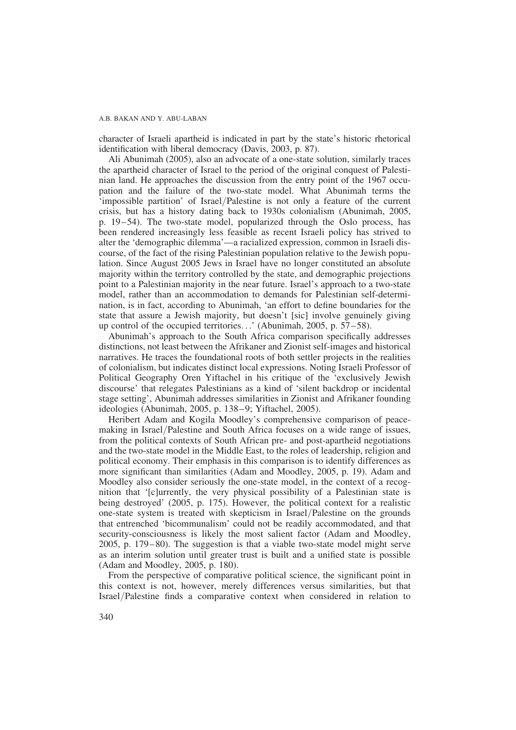character of Israeli apartheid is indicated in part by the state's historic rhetorical identification with liberal democracy (Davis, 2003, p. 87).

Ali Abunimah (2005), also an advocate of a one-state solution, similarly traces the apartheid character of Israel to the period of the original conquest of Palestinian land. He approaches the discussion from the entry point of the 1967 occupation and the failure of the two-state model. What Abunimah terms the 'impossible partition' of Israel/Palestine is not only a feature of the current crisis, but has a history dating back to 1930s colonialism (Abunimah, 2005, p. 19–54). The two-state model, popularized through the Oslo process, has been rendered increasingly less feasible as recent Israeli policy has strived to alter the 'demographic dilemma'—a racialized expression, common in Israeli discourse, of the fact of the rising Palestinian population relative to the Jewish population. Since August 2005 Jews in Israel have no longer constituted an absolute majority within the territory controlled by the state, and demographic projections point to a Palestinian majority in the near future. Israel's approach to a two-state model, rather than an accommodation to demands for Palestinian self-determination, is in fact, according to Abunimah, 'an effort to define boundaries for the state that assure a Jewish majority, but doesn't [sic] involve genuinely giving up control of the occupied territories...' (Abunimah, 2005, p. 57–58).

Abunimah's approach to the South Africa comparison specifically addresses distinctions, not least between the Afrikaner and Zionist self-images and historical narratives. He traces the foundational roots of both settler projects in the realities of colonialism, but indicates distinct local expressions. Noting Israeli Professor of Political Geography Oren Yiftachel in his critique of the 'exclusively Jewish discourse' that relegates Palestinians as a kind of 'silent backdrop or incidental stage setting', Abunimah addresses similarities in Zionist and Afrikaner founding ideologies (Abunimah, 2005, p. 138 –9; Yiftachel, 2005).

Heribert Adam and Kogila Moodley's comprehensive comparison of peacemaking in Israel/Palestine and South Africa focuses on a wide range of issues, from the political contexts of South African pre- and post-apartheid negotiations and the two-state model in the Middle East, to the roles of leadership, religion and political economy. Their emphasis in this comparison is to identify differences as more significant than similarities (Adam and Moodley, 2005, p. 19). Adam and Moodley also consider seriously the one-state model, in the context of a recognition that '[c]urrently, the very physical possibility of a Palestinian state is being destroyed' (2005, p. 175). However, the political context for a realistic one-state system is treated with skepticism in Israel/Palestine on the grounds that entrenched 'bicommunalism' could not be readily accommodated, and that security-consciousness is likely the most salient factor (Adam and Moodley, 2005, p. 179– 80). The suggestion is that a viable two-state model might serve as an interim solution until greater trust is built and a unified state is possible (Adam and Moodley, 2005, p. 180).

From the perspective of comparative political science, the significant point in this context is not, however, merely differences versus similarities, but that Israel/Palestine finds a comparative context when considered in relation to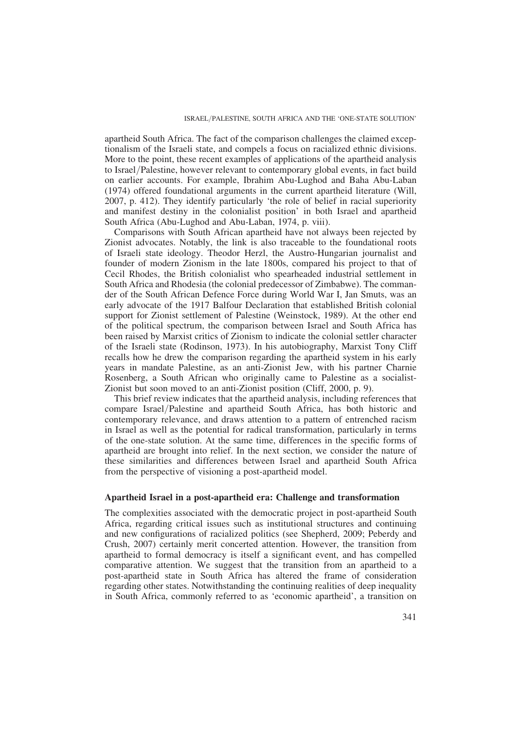apartheid South Africa. The fact of the comparison challenges the claimed exceptionalism of the Israeli state, and compels a focus on racialized ethnic divisions. More to the point, these recent examples of applications of the apartheid analysis to Israel/Palestine, however relevant to contemporary global events, in fact build on earlier accounts. For example, Ibrahim Abu-Lughod and Baha Abu-Laban (1974) offered foundational arguments in the current apartheid literature (Will, 2007, p. 412). They identify particularly 'the role of belief in racial superiority and manifest destiny in the colonialist position' in both Israel and apartheid South Africa (Abu-Lughod and Abu-Laban, 1974, p. viii).

Comparisons with South African apartheid have not always been rejected by Zionist advocates. Notably, the link is also traceable to the foundational roots of Israeli state ideology. Theodor Herzl, the Austro-Hungarian journalist and founder of modern Zionism in the late 1800s, compared his project to that of Cecil Rhodes, the British colonialist who spearheaded industrial settlement in South Africa and Rhodesia (the colonial predecessor of Zimbabwe). The commander of the South African Defence Force during World War I, Jan Smuts, was an early advocate of the 1917 Balfour Declaration that established British colonial support for Zionist settlement of Palestine (Weinstock, 1989). At the other end of the political spectrum, the comparison between Israel and South Africa has been raised by Marxist critics of Zionism to indicate the colonial settler character of the Israeli state (Rodinson, 1973). In his autobiography, Marxist Tony Cliff recalls how he drew the comparison regarding the apartheid system in his early years in mandate Palestine, as an anti-Zionist Jew, with his partner Charnie Rosenberg, a South African who originally came to Palestine as a socialist-Zionist but soon moved to an anti-Zionist position (Cliff, 2000, p. 9).

This brief review indicates that the apartheid analysis, including references that compare Israel/Palestine and apartheid South Africa, has both historic and contemporary relevance, and draws attention to a pattern of entrenched racism in Israel as well as the potential for radical transformation, particularly in terms of the one-state solution. At the same time, differences in the specific forms of apartheid are brought into relief. In the next section, we consider the nature of these similarities and differences between Israel and apartheid South Africa from the perspective of visioning a post-apartheid model.

## Apartheid Israel in a post-apartheid era: Challenge and transformation

The complexities associated with the democratic project in post-apartheid South Africa, regarding critical issues such as institutional structures and continuing and new configurations of racialized politics (see Shepherd, 2009; Peberdy and Crush, 2007) certainly merit concerted attention. However, the transition from apartheid to formal democracy is itself a significant event, and has compelled comparative attention. We suggest that the transition from an apartheid to a post-apartheid state in South Africa has altered the frame of consideration regarding other states. Notwithstanding the continuing realities of deep inequality in South Africa, commonly referred to as 'economic apartheid', a transition on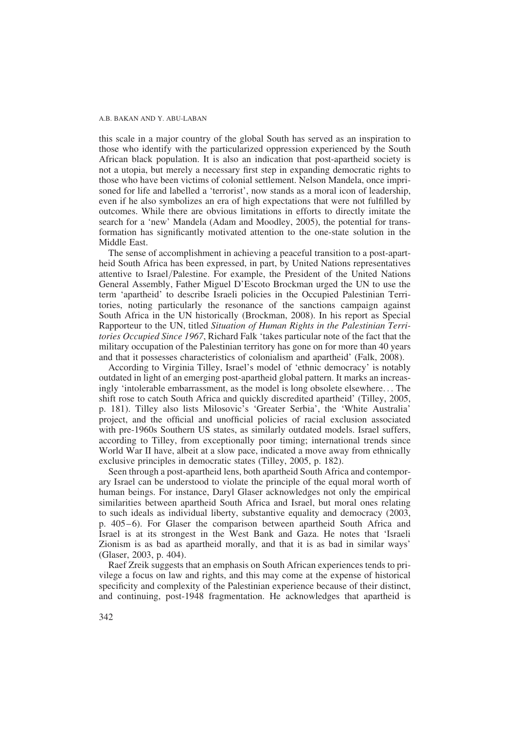this scale in a major country of the global South has served as an inspiration to those who identify with the particularized oppression experienced by the South African black population. It is also an indication that post-apartheid society is not a utopia, but merely a necessary first step in expanding democratic rights to those who have been victims of colonial settlement. Nelson Mandela, once imprisoned for life and labelled a 'terrorist', now stands as a moral icon of leadership, even if he also symbolizes an era of high expectations that were not fulfilled by outcomes. While there are obvious limitations in efforts to directly imitate the search for a 'new' Mandela (Adam and Moodley, 2005), the potential for transformation has significantly motivated attention to the one-state solution in the Middle East.

The sense of accomplishment in achieving a peaceful transition to a post-apartheid South Africa has been expressed, in part, by United Nations representatives attentive to Israel/Palestine. For example, the President of the United Nations General Assembly, Father Miguel D'Escoto Brockman urged the UN to use the term 'apartheid' to describe Israeli policies in the Occupied Palestinian Territories, noting particularly the resonance of the sanctions campaign against South Africa in the UN historically (Brockman, 2008). In his report as Special Rapporteur to the UN, titled Situation of Human Rights in the Palestinian Territories Occupied Since 1967, Richard Falk 'takes particular note of the fact that the military occupation of the Palestinian territory has gone on for more than 40 years and that it possesses characteristics of colonialism and apartheid' (Falk, 2008).

According to Virginia Tilley, Israel's model of 'ethnic democracy' is notably outdated in light of an emerging post-apartheid global pattern. It marks an increasingly 'intolerable embarrassment, as the model is long obsolete elsewhere... The shift rose to catch South Africa and quickly discredited apartheid' (Tilley, 2005, p. 181). Tilley also lists Milosovic's 'Greater Serbia', the 'White Australia' project, and the official and unofficial policies of racial exclusion associated with pre-1960s Southern US states, as similarly outdated models. Israel suffers, according to Tilley, from exceptionally poor timing; international trends since World War II have, albeit at a slow pace, indicated a move away from ethnically exclusive principles in democratic states (Tilley, 2005, p. 182).

Seen through a post-apartheid lens, both apartheid South Africa and contemporary Israel can be understood to violate the principle of the equal moral worth of human beings. For instance, Daryl Glaser acknowledges not only the empirical similarities between apartheid South Africa and Israel, but moral ones relating to such ideals as individual liberty, substantive equality and democracy (2003, p. 405– 6). For Glaser the comparison between apartheid South Africa and Israel is at its strongest in the West Bank and Gaza. He notes that 'Israeli Zionism is as bad as apartheid morally, and that it is as bad in similar ways' (Glaser, 2003, p. 404).

Raef Zreik suggests that an emphasis on South African experiences tends to privilege a focus on law and rights, and this may come at the expense of historical specificity and complexity of the Palestinian experience because of their distinct, and continuing, post-1948 fragmentation. He acknowledges that apartheid is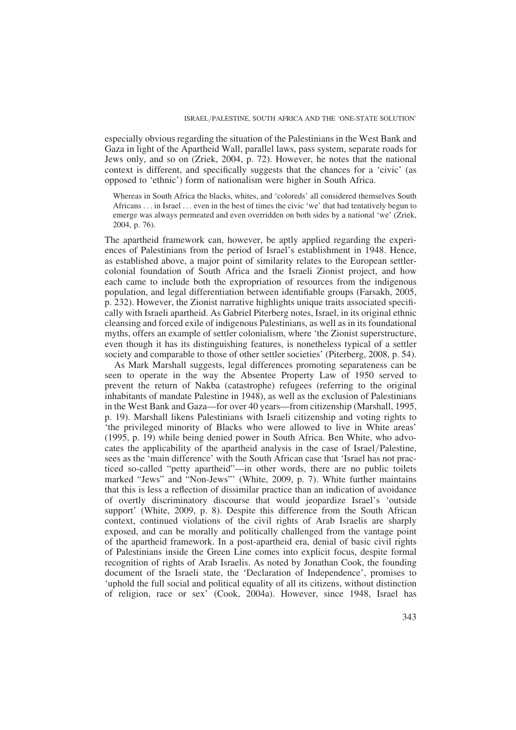especially obvious regarding the situation of the Palestinians in the West Bank and Gaza in light of the Apartheid Wall, parallel laws, pass system, separate roads for Jews only, and so on (Zriek, 2004, p. 72). However, he notes that the national context is different, and specifically suggests that the chances for a 'civic' (as opposed to 'ethnic') form of nationalism were higher in South Africa.

Whereas in South Africa the blacks, whites, and 'coloreds' all considered themselves South Africans ... in Israel ... even in the best of times the civic 'we' that had tentatively begun to emerge was always permeated and even overridden on both sides by a national 'we' (Zriek, 2004, p. 76).

The apartheid framework can, however, be aptly applied regarding the experiences of Palestinians from the period of Israel's establishment in 1948. Hence, as established above, a major point of similarity relates to the European settlercolonial foundation of South Africa and the Israeli Zionist project, and how each came to include both the expropriation of resources from the indigenous population, and legal differentiation between identifiable groups (Farsakh, 2005, p. 232). However, the Zionist narrative highlights unique traits associated specifically with Israeli apartheid. As Gabriel Piterberg notes, Israel, in its original ethnic cleansing and forced exile of indigenous Palestinians, as well as in its foundational myths, offers an example of settler colonialism, where 'the Zionist superstructure, even though it has its distinguishing features, is nonetheless typical of a settler society and comparable to those of other settler societies' (Piterberg, 2008, p. 54).

As Mark Marshall suggests, legal differences promoting separateness can be seen to operate in the way the Absentee Property Law of 1950 served to prevent the return of Nakba (catastrophe) refugees (referring to the original inhabitants of mandate Palestine in 1948), as well as the exclusion of Palestinians in the West Bank and Gaza—for over 40 years—from citizenship (Marshall, 1995, p. 19). Marshall likens Palestinians with Israeli citizenship and voting rights to 'the privileged minority of Blacks who were allowed to live in White areas' (1995, p. 19) while being denied power in South Africa. Ben White, who advocates the applicability of the apartheid analysis in the case of Israel/Palestine, sees as the 'main difference' with the South African case that 'Israel has not practiced so-called "petty apartheid"—in other words, there are no public toilets marked "Jews" and "Non-Jews"' (White, 2009, p. 7). White further maintains that this is less a reflection of dissimilar practice than an indication of avoidance of overtly discriminatory discourse that would jeopardize Israel's 'outside support' (White, 2009, p. 8). Despite this difference from the South African context, continued violations of the civil rights of Arab Israelis are sharply exposed, and can be morally and politically challenged from the vantage point of the apartheid framework. In a post-apartheid era, denial of basic civil rights of Palestinians inside the Green Line comes into explicit focus, despite formal recognition of rights of Arab Israelis. As noted by Jonathan Cook, the founding document of the Israeli state, the 'Declaration of Independence', promises to 'uphold the full social and political equality of all its citizens, without distinction of religion, race or sex' (Cook, 2004a). However, since 1948, Israel has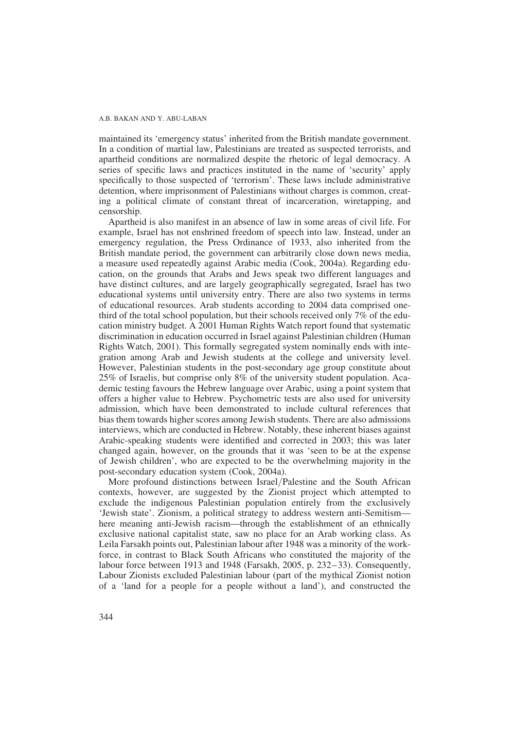maintained its 'emergency status' inherited from the British mandate government. In a condition of martial law, Palestinians are treated as suspected terrorists, and apartheid conditions are normalized despite the rhetoric of legal democracy. A series of specific laws and practices instituted in the name of 'security' apply specifically to those suspected of 'terrorism'. These laws include administrative detention, where imprisonment of Palestinians without charges is common, creating a political climate of constant threat of incarceration, wiretapping, and censorship.

Apartheid is also manifest in an absence of law in some areas of civil life. For example, Israel has not enshrined freedom of speech into law. Instead, under an emergency regulation, the Press Ordinance of 1933, also inherited from the British mandate period, the government can arbitrarily close down news media, a measure used repeatedly against Arabic media (Cook, 2004a). Regarding education, on the grounds that Arabs and Jews speak two different languages and have distinct cultures, and are largely geographically segregated, Israel has two educational systems until university entry. There are also two systems in terms of educational resources. Arab students according to 2004 data comprised onethird of the total school population, but their schools received only 7% of the education ministry budget. A 2001 Human Rights Watch report found that systematic discrimination in education occurred in Israel against Palestinian children (Human Rights Watch, 2001). This formally segregated system nominally ends with integration among Arab and Jewish students at the college and university level. However, Palestinian students in the post-secondary age group constitute about 25% of Israelis, but comprise only 8% of the university student population. Academic testing favours the Hebrew language over Arabic, using a point system that offers a higher value to Hebrew. Psychometric tests are also used for university admission, which have been demonstrated to include cultural references that bias them towards higher scores among Jewish students. There are also admissions interviews, which are conducted in Hebrew. Notably, these inherent biases against Arabic-speaking students were identified and corrected in 2003; this was later changed again, however, on the grounds that it was 'seen to be at the expense of Jewish children', who are expected to be the overwhelming majority in the post-secondary education system (Cook, 2004a).

More profound distinctions between Israel/Palestine and the South African contexts, however, are suggested by the Zionist project which attempted to exclude the indigenous Palestinian population entirely from the exclusively 'Jewish state'. Zionism, a political strategy to address western anti-Semitism here meaning anti-Jewish racism—through the establishment of an ethnically exclusive national capitalist state, saw no place for an Arab working class. As Leila Farsakh points out, Palestinian labour after 1948 was a minority of the workforce, in contrast to Black South Africans who constituted the majority of the labour force between 1913 and 1948 (Farsakh, 2005, p. 232– 33). Consequently, Labour Zionists excluded Palestinian labour (part of the mythical Zionist notion of a 'land for a people for a people without a land'), and constructed the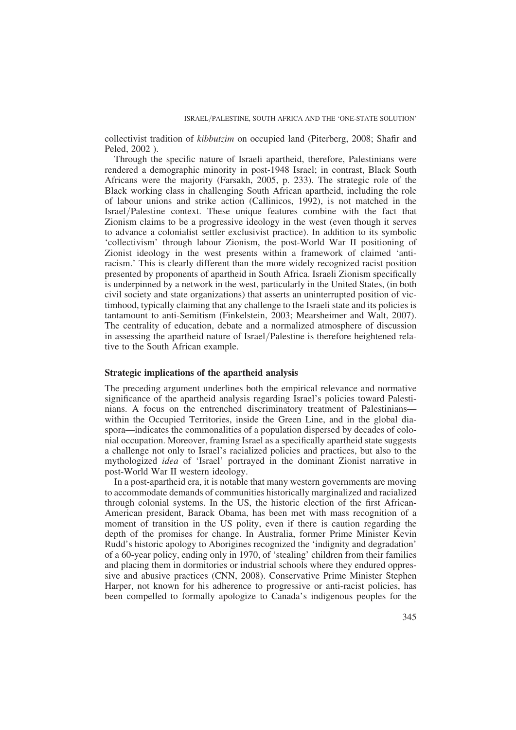collectivist tradition of kibbutzim on occupied land (Piterberg, 2008; Shafir and Peled, 2002 ).

Through the specific nature of Israeli apartheid, therefore, Palestinians were rendered a demographic minority in post-1948 Israel; in contrast, Black South Africans were the majority (Farsakh, 2005, p. 233). The strategic role of the Black working class in challenging South African apartheid, including the role of labour unions and strike action (Callinicos, 1992), is not matched in the Israel/Palestine context. These unique features combine with the fact that Zionism claims to be a progressive ideology in the west (even though it serves to advance a colonialist settler exclusivist practice). In addition to its symbolic 'collectivism' through labour Zionism, the post-World War II positioning of Zionist ideology in the west presents within a framework of claimed 'antiracism.' This is clearly different than the more widely recognized racist position presented by proponents of apartheid in South Africa. Israeli Zionism specifically is underpinned by a network in the west, particularly in the United States, (in both civil society and state organizations) that asserts an uninterrupted position of victimhood, typically claiming that any challenge to the Israeli state and its policies is tantamount to anti-Semitism (Finkelstein, 2003; Mearsheimer and Walt, 2007). The centrality of education, debate and a normalized atmosphere of discussion in assessing the apartheid nature of Israel/Palestine is therefore heightened relative to the South African example.

## Strategic implications of the apartheid analysis

The preceding argument underlines both the empirical relevance and normative significance of the apartheid analysis regarding Israel's policies toward Palestinians. A focus on the entrenched discriminatory treatment of Palestinians within the Occupied Territories, inside the Green Line, and in the global diaspora—indicates the commonalities of a population dispersed by decades of colonial occupation. Moreover, framing Israel as a specifically apartheid state suggests a challenge not only to Israel's racialized policies and practices, but also to the mythologized idea of 'Israel' portrayed in the dominant Zionist narrative in post-World War II western ideology.

In a post-apartheid era, it is notable that many western governments are moving to accommodate demands of communities historically marginalized and racialized through colonial systems. In the US, the historic election of the first African-American president, Barack Obama, has been met with mass recognition of a moment of transition in the US polity, even if there is caution regarding the depth of the promises for change. In Australia, former Prime Minister Kevin Rudd's historic apology to Aborigines recognized the 'indignity and degradation' of a 60-year policy, ending only in 1970, of 'stealing' children from their families and placing them in dormitories or industrial schools where they endured oppressive and abusive practices (CNN, 2008). Conservative Prime Minister Stephen Harper, not known for his adherence to progressive or anti-racist policies, has been compelled to formally apologize to Canada's indigenous peoples for the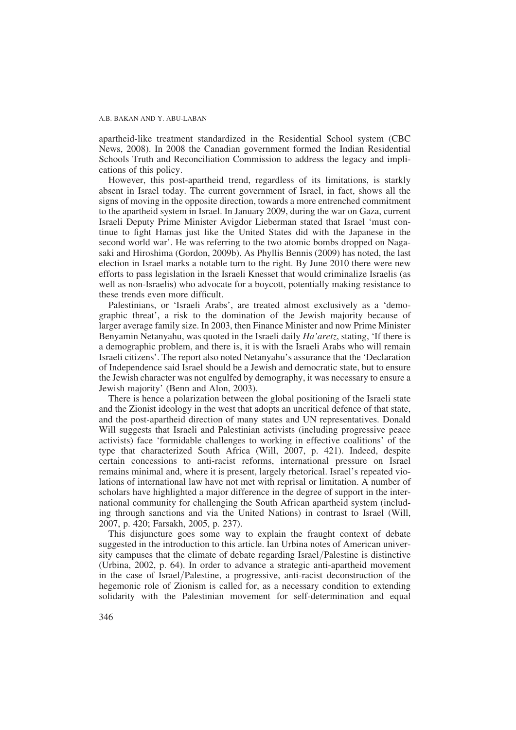apartheid-like treatment standardized in the Residential School system (CBC News, 2008). In 2008 the Canadian government formed the Indian Residential Schools Truth and Reconciliation Commission to address the legacy and implications of this policy.

However, this post-apartheid trend, regardless of its limitations, is starkly absent in Israel today. The current government of Israel, in fact, shows all the signs of moving in the opposite direction, towards a more entrenched commitment to the apartheid system in Israel. In January 2009, during the war on Gaza, current Israeli Deputy Prime Minister Avigdor Lieberman stated that Israel 'must continue to fight Hamas just like the United States did with the Japanese in the second world war'. He was referring to the two atomic bombs dropped on Nagasaki and Hiroshima (Gordon, 2009b). As Phyllis Bennis (2009) has noted, the last election in Israel marks a notable turn to the right. By June 2010 there were new efforts to pass legislation in the Israeli Knesset that would criminalize Israelis (as well as non-Israelis) who advocate for a boycott, potentially making resistance to these trends even more difficult.

Palestinians, or 'Israeli Arabs', are treated almost exclusively as a 'demographic threat', a risk to the domination of the Jewish majority because of larger average family size. In 2003, then Finance Minister and now Prime Minister Benyamin Netanyahu, was quoted in the Israeli daily *Ha'aretz*, stating, 'If there is a demographic problem, and there is, it is with the Israeli Arabs who will remain Israeli citizens'. The report also noted Netanyahu's assurance that the 'Declaration of Independence said Israel should be a Jewish and democratic state, but to ensure the Jewish character was not engulfed by demography, it was necessary to ensure a Jewish majority' (Benn and Alon, 2003).

There is hence a polarization between the global positioning of the Israeli state and the Zionist ideology in the west that adopts an uncritical defence of that state, and the post-apartheid direction of many states and UN representatives. Donald Will suggests that Israeli and Palestinian activists (including progressive peace activists) face 'formidable challenges to working in effective coalitions' of the type that characterized South Africa (Will, 2007, p. 421). Indeed, despite certain concessions to anti-racist reforms, international pressure on Israel remains minimal and, where it is present, largely rhetorical. Israel's repeated violations of international law have not met with reprisal or limitation. A number of scholars have highlighted a major difference in the degree of support in the international community for challenging the South African apartheid system (including through sanctions and via the United Nations) in contrast to Israel (Will, 2007, p. 420; Farsakh, 2005, p. 237).

This disjuncture goes some way to explain the fraught context of debate suggested in the introduction to this article. Ian Urbina notes of American university campuses that the climate of debate regarding Israel/Palestine is distinctive (Urbina, 2002, p. 64). In order to advance a strategic anti-apartheid movement in the case of Israel/Palestine, a progressive, anti-racist deconstruction of the hegemonic role of Zionism is called for, as a necessary condition to extending solidarity with the Palestinian movement for self-determination and equal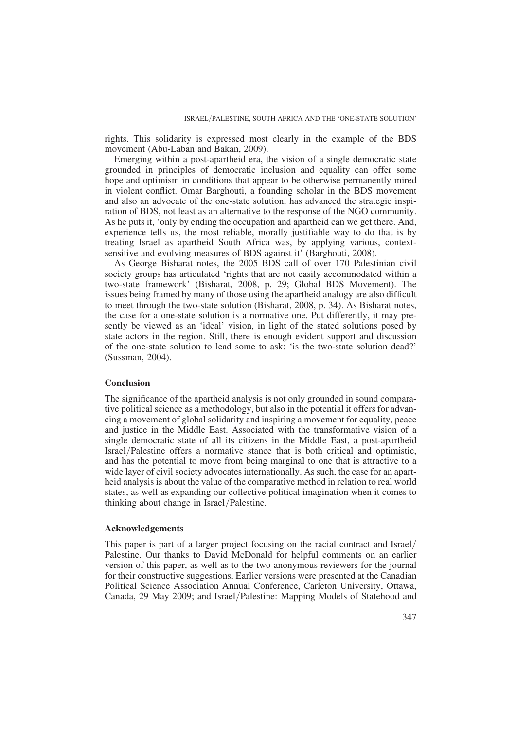rights. This solidarity is expressed most clearly in the example of the BDS movement (Abu-Laban and Bakan, 2009).

Emerging within a post-apartheid era, the vision of a single democratic state grounded in principles of democratic inclusion and equality can offer some hope and optimism in conditions that appear to be otherwise permanently mired in violent conflict. Omar Barghouti, a founding scholar in the BDS movement and also an advocate of the one-state solution, has advanced the strategic inspiration of BDS, not least as an alternative to the response of the NGO community. As he puts it, 'only by ending the occupation and apartheid can we get there. And, experience tells us, the most reliable, morally justifiable way to do that is by treating Israel as apartheid South Africa was, by applying various, contextsensitive and evolving measures of BDS against it' (Barghouti, 2008).

As George Bisharat notes, the 2005 BDS call of over 170 Palestinian civil society groups has articulated 'rights that are not easily accommodated within a two-state framework' (Bisharat, 2008, p. 29; Global BDS Movement). The issues being framed by many of those using the apartheid analogy are also difficult to meet through the two-state solution (Bisharat, 2008, p. 34). As Bisharat notes, the case for a one-state solution is a normative one. Put differently, it may presently be viewed as an 'ideal' vision, in light of the stated solutions posed by state actors in the region. Still, there is enough evident support and discussion of the one-state solution to lead some to ask: 'is the two-state solution dead?' (Sussman, 2004).

## **Conclusion**

The significance of the apartheid analysis is not only grounded in sound comparative political science as a methodology, but also in the potential it offers for advancing a movement of global solidarity and inspiring a movement for equality, peace and justice in the Middle East. Associated with the transformative vision of a single democratic state of all its citizens in the Middle East, a post-apartheid Israel/Palestine offers a normative stance that is both critical and optimistic, and has the potential to move from being marginal to one that is attractive to a wide layer of civil society advocates internationally. As such, the case for an apartheid analysis is about the value of the comparative method in relation to real world states, as well as expanding our collective political imagination when it comes to thinking about change in Israel/Palestine.

## Acknowledgements

This paper is part of a larger project focusing on the racial contract and Israel/ Palestine. Our thanks to David McDonald for helpful comments on an earlier version of this paper, as well as to the two anonymous reviewers for the journal for their constructive suggestions. Earlier versions were presented at the Canadian Political Science Association Annual Conference, Carleton University, Ottawa, Canada, 29 May 2009; and Israel/Palestine: Mapping Models of Statehood and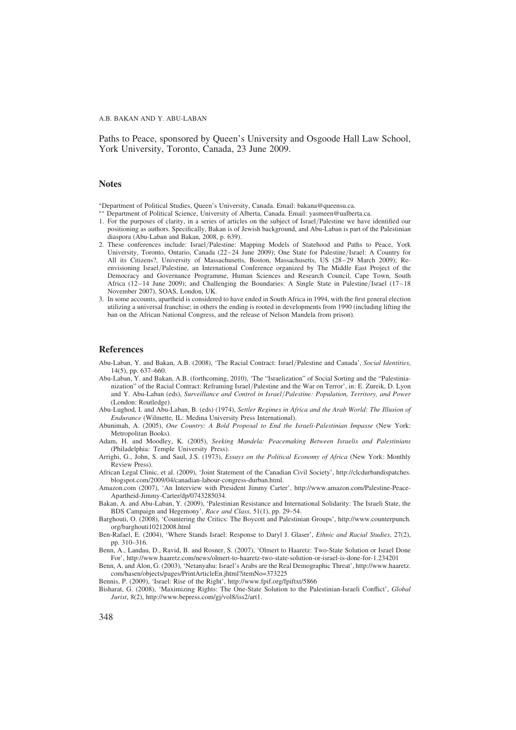Paths to Peace, sponsored by Queen's University and Osgoode Hall Law School, York University, Toronto, Canada, 23 June 2009.

### Notes

<sup>∗</sup>Department of Political Studies, Queen's University, Canada. Email: bakana@queensu.ca.

- ∗∗ Department of Political Science, University of Alberta, Canada. Email: yasmeen@ualberta.ca.
- 1. For the purposes of clarity, in a series of articles on the subject of Israel/Palestine we have identified our positioning as authors. Specifically, Bakan is of Jewish background, and Abu-Laban is part of the Palestinian diaspora (Abu-Laban and Bakan, 2008, p. 639).
- 2. These conferences include: Israel/Palestine: Mapping Models of Statehood and Paths to Peace, York University, Toronto, Ontario, Canada (22–24 June 2009); One State for Palestine/Israel: A Country for All its Citizens?, University of Massachusetts, Boston, Massachusetts, US (28–29 March 2009); Reenvisioning Israel/Palestine, an International Conference organized by The Middle East Project of the Democracy and Governance Programme, Human Sciences and Research Council, Cape Town, South Africa (12–14 June 2009); and Challenging the Boundaries: A Single State in Palestine/Israel (17–18 November 2007), SOAS, London, UK.
- 3. In some accounts, apartheid is considered to have ended in South Africa in 1994, with the first general election utilizing a universal franchise; in others the ending is rooted in developments from 1990 (including lifting the ban on the African National Congress, and the release of Nelson Mandela from prison).

### References

- Abu-Laban, Y. and Bakan, A.B. (2008), 'The Racial Contract: Israel/Palestine and Canada', Social Identities, 14(5), pp. 637–660.
- Abu-Laban, Y. and Bakan, A.B. (forthcoming, 2010), 'The "Israelization" of Social Sorting and the "Palestinianization" of the Racial Contract: Reframing Israel/Palestine and the War on Terror', in: E. Zureik, D. Lyon and Y. Abu-Laban (eds), Surveillance and Control in Israel/Palestine: Population, Territory, and Power (London: Routledge).
- Abu-Lughod, I. and Abu-Laban, B. (eds) (1974), Settler Regimes in Africa and the Arab World: The Illusion of Endurance (Wilmette, IL: Medina University Press International).
- Abunimah, A. (2005), One Country: A Bold Proposal to End the Israeli-Palestinian Impasse (New York: Metropolitan Books).
- Adam, H. and Moodley, K. (2005), Seeking Mandela: Peacemaking Between Israelis and Palestinians (Philadelphia: Temple University Press).
- Arrighi, G., John, S. and Saul, J.S. (1973), Essays on the Political Economy of Africa (New York: Monthly Review Press).
- African Legal Clinic, et al. (2009), 'Joint Statement of the Canadian Civil Society', http://clcdurbandispatches. blogspot.com/2009/04/canadian-labour-congress-durban.html.
- Amazon.com (2007), 'An Interview with President Jimmy Carter', http://www.amazon.com/Palestine-Peace-Apartheid-Jimmy-Carter/dp/0743285034.
- Bakan, A. and Abu-Laban, Y. (2009), 'Palestinian Resistance and International Solidarity: The Israeli State, the BDS Campaign and Hegemony', Race and Class, 51(1), pp. 29–54.
- Barghouti, O. (2008), 'Countering the Critics: The Boycott and Palestinian Groups', http://www.counterpunch. org/barghouti10212008.html
- Ben-Rafael, E. (2004), 'Where Stands Israel: Response to Daryl J. Glaser', Ethnic and Racial Studies, 27(2), pp. 310–316.
- Benn, A., Landau, D., Ravid, B. and Rosner, S. (2007), 'Olmert to Haaretz: Two-State Solution or Israel Done For', http://www.haaretz.com/news/olmert-to-haaretz-two-state-solution-or-israel-is-done-for-1.234201

Benn, A. and Alon, G. (2003), 'Netanyahu: Israel's Arabs are the Real Demographic Threat', http://www.haaretz. com/hasen/objects/pages/PrintArticleEn.jhtml?itemNo=373225

- Bennis, P. (2009), 'Israel: Rise of the Right', http://www.fpif.org/fpiftxt/5866
- Bisharat, G. (2008), 'Maximizing Rights: The One-State Solution to the Palestinian-Israeli Conflict', Global Jurist, 8(2), http://www.bepress.com/gj/vol8/iss2/art1.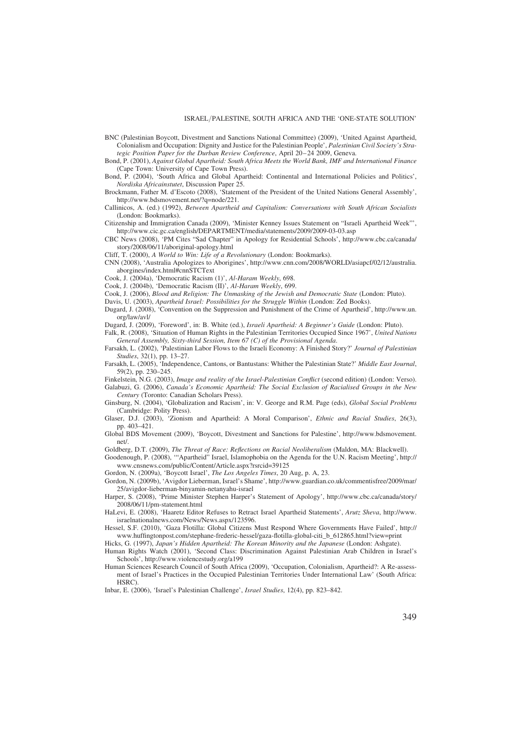- BNC (Palestinian Boycott, Divestment and Sanctions National Committee) (2009), 'United Against Apartheid, Colonialism and Occupation: Dignity and Justice for the Palestinian People', Palestinian Civil Society's Strategic Position Paper for the Durban Review Conference, April 20–24 2009, Geneva.
- Bond, P. (2001), Against Global Apartheid: South Africa Meets the World Bank, IMF and International Finance (Cape Town: University of Cape Town Press).
- Bond, P. (2004), 'South Africa and Global Apartheid: Continental and International Policies and Politics', Nordiska Africainstutet, Discussion Paper 25.
- Brockmann, Father M. d'Escoto (2008), 'Statement of the President of the United Nations General Assembly', http://www.bdsmovement.net/?q=node/221.
- Callinicos, A. (ed.) (1992), Between Apartheid and Capitalism: Conversations with South African Socialists (London: Bookmarks).
- Citizenship and Immigration Canada (2009), 'Minister Kenney Issues Statement on "Israeli Apartheid Week"', http://www.cic.gc.ca/english/DEPARTMENT/media/statements/2009/2009-03-03.asp
- CBC News (2008), 'PM Cites "Sad Chapter" in Apology for Residential Schools', http://www.cbc.ca/canada/ story/2008/06/11/aboriginal-apology.html
- Cliff, T. (2000), A World to Win: Life of a Revolutionary (London: Bookmarks).
- CNN (2008), 'Australia Apologizes to Aborigines', http://www.cnn.com/2008/WORLD/asiapcf/02/12/australia. aborgines/index.html#cnnSTCText
- Cook, J. (2004a), 'Democratic Racism (1)', Al-Haram Weekly, 698.
- Cook, J. (2004b), 'Democratic Racism (II)', Al-Haram Weekly, 699.
- Cook, J. (2006), Blood and Religion: The Unmasking of the Jewish and Democratic State (London: Pluto).
- Davis, U. (2003), Apartheid Israel: Possibilities for the Struggle Within (London: Zed Books).
- Dugard, J. (2008), 'Convention on the Suppression and Punishment of the Crime of Apartheid', http://www.un. org/law/avl/
- Dugard, J. (2009), 'Foreword', in: B. White (ed.), *Israeli Apartheid: A Beginner's Guide* (London: Pluto).

Falk, R. (2008), 'Situation of Human Rights in the Palestinian Territories Occupied Since 1967', United Nations General Assembly, Sixty-third Session, Item 67 (C) of the Provisional Agenda.

- Farsakh, L. (2002), 'Palestinian Labor Flows to the Israeli Economy: A Finished Story?' Journal of Palestinian Studies, 32(1), pp. 13–27.
- Farsakh, L. (2005), 'Independence, Cantons, or Bantustans: Whither the Palestinian State?' Middle East Journal, 59(2), pp. 230–245.

Finkelstein, N.G. (2003), Image and reality of the Israel-Palestinian Conflict (second edition) (London: Verso).

- Galabuzi, G. (2006), Canada's Economic Apartheid: The Social Exclusion of Racialised Groups in the New Century (Toronto: Canadian Scholars Press).
- Ginsburg, N. (2004), 'Globalization and Racism', in: V. George and R.M. Page (eds), Global Social Problems (Cambridge: Polity Press).
- Glaser, D.J. (2003), 'Zionism and Apartheid: A Moral Comparison', Ethnic and Racial Studies, 26(3), pp. 403–421.
- Global BDS Movement (2009), 'Boycott, Divestment and Sanctions for Palestine', http://www.bdsmovement. net/.

Goldberg, D.T. (2009), The Threat of Race: Reflections on Racial Neoliberalism (Maldon, MA: Blackwell).

- Goodenough, P. (2008), '"Apartheid" Israel, Islamophobia on the Agenda for the U.N. Racism Meeting', http:// www.cnsnews.com/public/Content/Article.aspx?rsrcid=39125
- Gordon, N. (2009a), 'Boycott Israel', The Los Angeles Times, 20 Aug, p. A, 23.
- Gordon, N. (2009b), 'Avigdor Lieberman, Israel's Shame', http://www.guardian.co.uk/commentisfree/2009/mar/ 25/avigdor-lieberman-binyamin-netanyahu-israel
- Harper, S. (2008), 'Prime Minister Stephen Harper's Statement of Apology', http://www.cbc.ca/canada/story/ 2008/06/11/pm-statement.html
- HaLevi, E. (2008), 'Haaretz Editor Refuses to Retract Israel Apartheid Statements', Arutz Sheva, http://www. israelnationalnews.com/News/News.aspx/123596.
- Hessel, S.F. (2010), 'Gaza Flotilla: Global Citizens Must Respond Where Governments Have Failed', http:// www.huffingtonpost.com/stephane-frederic-hessel/gaza-flotilla-global-citi\_b\_612865.html?view=print

Hicks, G. (1997), Japan's Hidden Apartheid: The Korean Minority and the Japanese (London: Ashgate).

- Human Rights Watch (2001), 'Second Class: Discrimination Against Palestinian Arab Children in Israel's Schools', http://www.violencestudy.org/a199
- Human Sciences Research Council of South Africa (2009), 'Occupation, Colonialism, Apartheid?: A Re-assessment of Israel's Practices in the Occupied Palestinian Territories Under International Law' (South Africa: HSRC).
- Inbar, E. (2006), 'Israel's Palestinian Challenge', Israel Studies, 12(4), pp. 823–842.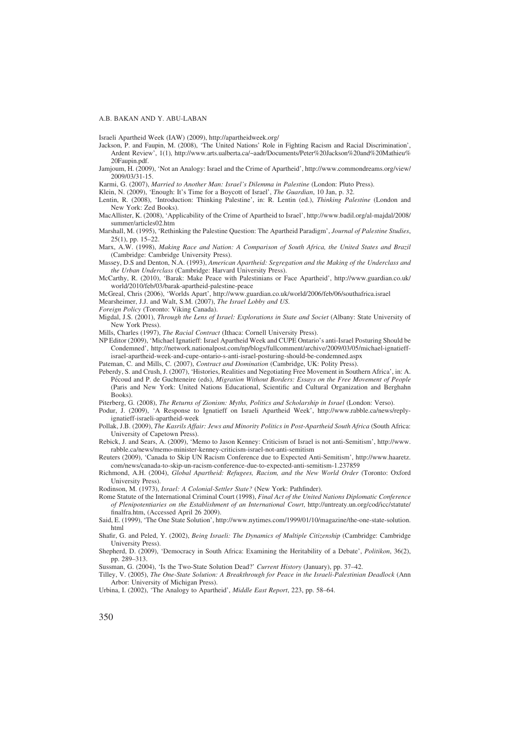Israeli Apartheid Week (IAW) (2009), http://apartheidweek.org/

Jackson, P. and Faupin, M. (2008), 'The United Nations' Role in Fighting Racism and Racial Discrimination', Ardent Review', 1(1), http://www.arts.ualberta.ca/~aadr/Documents/Peter%20Jackson%20and%20Mathieu% 20Faupin.pdf.

Jamjoum, H. (2009), 'Not an Analogy: Israel and the Crime of Apartheid', http://www.commondreams.org/view/ 2009/03/31-15.

Karmi, G. (2007), Married to Another Man: Israel's Dilemma in Palestine (London: Pluto Press).

Klein, N. (2009), 'Enough: It's Time for a Boycott of Israel', The Guardian, 10 Jan, p. 32.

Lentin, R. (2008), 'Introduction: Thinking Palestine', in: R. Lentin (ed.), Thinking Palestine (London and New York: Zed Books).

MacAllister, K. (2008), 'Applicability of the Crime of Apartheid to Israel', http://www.badil.org/al-majdal/2008/ summer/articles02.htm

Marshall, M. (1995), 'Rethinking the Palestine Question: The Apartheid Paradigm', Journal of Palestine Studies, 25(1), pp. 15–22.

- Marx, A.W. (1998), Making Race and Nation: A Comparison of South Africa, the United States and Brazil (Cambridge: Cambridge University Press).
- Massey, D.S and Denton, N.A. (1993), American Apartheid: Segregation and the Making of the Underclass and the Urban Underclass (Cambridge: Harvard University Press).
- McCarthy, R. (2010), 'Barak: Make Peace with Palestinians or Face Apartheid', http://www.guardian.co.uk/ world/2010/feb/03/barak-apartheid-palestine-peace

McGreal, Chris (2006), 'Worlds Apart', http://www.guardian.co.uk/world/2006/feb/06/southafrica.israel

Mearsheimer, J.J. and Walt, S.M. (2007), The Israel Lobby and US.

Foreign Policy (Toronto: Viking Canada).

Migdal, J.S. (2001), Through the Lens of Israel: Explorations in State and Societ (Albany: State University of New York Press).

Mills, Charles (1997), The Racial Contract (Ithaca: Cornell University Press).

NP Editor (2009), 'Michael Ignatieff: Israel Apartheid Week and CUPE Ontario's anti-Israel Posturing Should be Condemned', http://network.nationalpost.com/np/blogs/fullcomment/archive/2009/03/05/michael-ignatieffisrael-apartheid-week-and-cupe-ontario-s-anti-israel-posturing-should-be-condemned.aspx

Pateman, C. and Mills, C. (2007), Contract and Domination (Cambridge, UK: Polity Press).

Peberdy, S. and Crush, J. (2007), 'Histories, Realities and Negotiating Free Movement in Southern Africa', in: A. Pécoud and P. de Guchteneire (eds), Migration Without Borders: Essays on the Free Movement of People (Paris and New York: United Nations Educational, Scientific and Cultural Organization and Berghahn Books).

Piterberg, G. (2008), The Returns of Zionism: Myths, Politics and Scholarship in Israel (London: Verso).

- Podur, J. (2009), 'A Response to Ignatieff on Israeli Apartheid Week', http://www.rabble.ca/news/replyignatieff-israeli-apartheid-week
- Pollak, J.B. (2009), The Kasrils Affair: Jews and Minority Politics in Post-Apartheid South Africa (South Africa: University of Capetown Press).
- Rebick, J. and Sears, A. (2009), 'Memo to Jason Kenney: Criticism of Israel is not anti-Semitism', http://www. rabble.ca/news/memo-minister-kenney-criticism-israel-not-anti-semitism
- Reuters (2009), 'Canada to Skip UN Racism Conference due to Expected Anti-Semitism', http://www.haaretz. com/news/canada-to-skip-un-racism-conference-due-to-expected-anti-semitism-1.237859
- Richmond, A.H. (2004), Global Apartheid: Refugees, Racism, and the New World Order (Toronto: Oxford University Press).

Rodinson, M. (1973), Israel: A Colonial-Settler State? (New York: Pathfinder).

- Rome Statute of the International Criminal Court (1998), Final Act of the United Nations Diplomatic Conference of Plenipotentiaries on the Establishment of an International Court, http://untreaty.un.org/cod/icc/statute/ finalfra.htm, (Accessed April 26 2009).
- Said, E. (1999), 'The One State Solution', http://www.nytimes.com/1999/01/10/magazine/the-one-state-solution. html
- Shafir, G. and Peled, Y. (2002), Being Israeli: The Dynamics of Multiple Citizenship (Cambridge: Cambridge University Press).
- Shepherd, D. (2009), 'Democracy in South Africa: Examining the Heritability of a Debate', Politikon, 36(2), pp. 289–313.
- Sussman, G. (2004), 'Is the Two-State Solution Dead?' Current History (January), pp. 37–42.
- Tilley, V. (2005), The One-State Solution: A Breakthrough for Peace in the Israeli-Palestinian Deadlock (Ann Arbor: University of Michigan Press).
- Urbina, I. (2002), 'The Analogy to Apartheid', Middle East Report, 223, pp. 58–64.